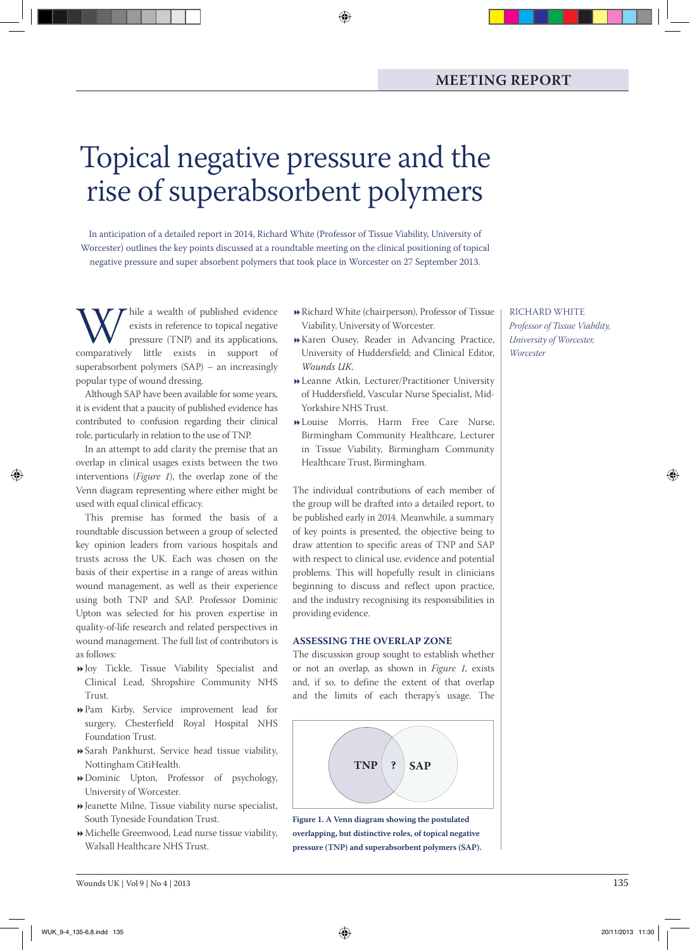# Topical negative pressure and the rise of superabsorbent polymers

◈

In anticipation of a detailed report in 2014, Richard White (Professor of Tissue Viability, University of Worcester) outlines the key points discussed at a roundtable meeting on the clinical positioning of topical negative pressure and super absorbent polymers that took place in Worcester on 27 September 2013.

While a wealth of published evidence<br>
exists in reference to topical negative<br>
pressure (TNP) and its applications,<br>
comparatively little exists in support of exists in reference to topical negative pressure (TNP) and its applications, superabsorbent polymers (SAP) – an increasingly popular type of wound dressing.

Although SAP have been available for some years, it is evident that a paucity of published evidence has contributed to confusion regarding their clinical role, particularly in relation to the use of TNP.

In an attempt to add clarity the premise that an overlap in clinical usages exists between the two interventions (*Figure 1*), the overlap zone of the Venn diagram representing where either might be used with equal clinical efficacy.

This premise has formed the basis of a roundtable discussion between a group of selected key opinion leaders from various hospitals and trusts across the UK. Each was chosen on the basis of their expertise in a range of areas within wound management, as well as their experience using both TNP and SAP. Professor Dominic Upton was selected for his proven expertise in quality-of-life research and related perspectives in wound management. The full list of contributors is as follows:

- Joy Tickle, Tissue Viability Specialist and Clinical Lead, Shropshire Community NHS Trust.
- Pam Kirby, Service improvement lead for surgery, Chesterfield Royal Hospital NHS Foundation Trust.
- Sarah Pankhurst, Service head tissue viability, Nottingham CitiHealth.
- Dominic Upton, Professor of psychology, University of Worcester.
- $\blacktriangleright$  Jeanette Milne, Tissue viability nurse specialist, South Tyneside Foundation Trust.
- Michelle Greenwood, Lead nurse tissue viability, Walsall Healthcare NHS Trust.
- Richard White (chairperson), Professor of Tissue Viability, University of Worcester.
- Karen Ousey, Reader in Advancing Practice, University of Huddersfield; and Clinical Editor, *Wounds UK.*
- Leanne Atkin, Lecturer/Practitioner University of Huddersfield, Vascular Nurse Specialist, Mid-Yorkshire NHS Trust.
- Louise Morris, Harm Free Care Nurse, Birmingham Community Healthcare, Lecturer in Tissue Viability, Birmingham Community Healthcare Trust, Birmingham.

The individual contributions of each member of the group will be drafted into a detailed report, to be published early in 2014. Meanwhile, a summary of key points is presented, the objective being to draw attention to specific areas of TNP and SAP with respect to clinical use, evidence and potential problems. This will hopefully result in clinicians beginning to discuss and reflect upon practice, and the industry recognising its responsibilities in providing evidence.

#### **Assessing the Overlap zone**

The discussion group sought to establish whether or not an overlap, as shown in *Figure 1*, exists and, if so, to define the extent of that overlap and the limits of each therapy's usage. The



**Figure 1. A Venn diagram showing the postulated overlapping, but distinctive roles, of topical negative pressure (TNP) and superabsorbent polymers (SAP).** Richard white *Professor of Tissue Viability, University of Worcester, Worcester*

◈

◈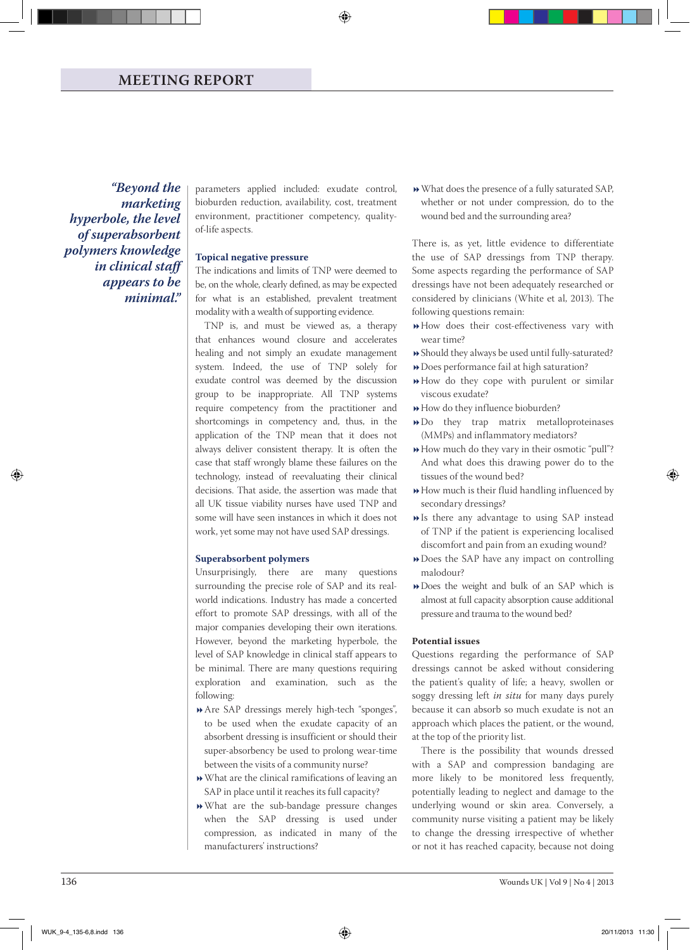*"Beyond the marketing hyperbole, the level of superabsorbent polymers knowledge in clinical staff appears to be minimal."*

parameters applied included: exudate control, bioburden reduction, availability, cost, treatment environment, practitioner competency, qualityof-life aspects.

◈

# **Topical negative pressure**

The indications and limits of TNP were deemed to be, on the whole, clearly defined, as may be expected for what is an established, prevalent treatment modality with a wealth of supporting evidence.

TNP is, and must be viewed as, a therapy that enhances wound closure and accelerates healing and not simply an exudate management system. Indeed, the use of TNP solely for exudate control was deemed by the discussion group to be inappropriate. All TNP systems require competency from the practitioner and shortcomings in competency and, thus, in the application of the TNP mean that it does not always deliver consistent therapy. It is often the case that staff wrongly blame these failures on the technology, instead of reevaluating their clinical decisions. That aside, the assertion was made that all UK tissue viability nurses have used TNP and some will have seen instances in which it does not work, yet some may not have used SAP dressings.

#### **Superabsorbent polymers**

Unsurprisingly, there are many questions surrounding the precise role of SAP and its realworld indications. Industry has made a concerted effort to promote SAP dressings, with all of the major companies developing their own iterations. However, beyond the marketing hyperbole, the level of SAP knowledge in clinical staff appears to be minimal. There are many questions requiring exploration and examination, such as the following:

- Are SAP dressings merely high-tech "sponges", to be used when the exudate capacity of an absorbent dressing is insufficient or should their super-absorbency be used to prolong wear-time between the visits of a community nurse?
- What are the clinical ramifications of leaving an SAP in place until it reaches its full capacity?
- What are the sub-bandage pressure changes when the SAP dressing is used under compression, as indicated in many of the manufacturers' instructions?

What does the presence of a fully saturated SAP, whether or not under compression, do to the wound bed and the surrounding area?

There is, as yet, little evidence to differentiate the use of SAP dressings from TNP therapy. Some aspects regarding the performance of SAP dressings have not been adequately researched or considered by clinicians (White et al, 2013). The following questions remain:

- How does their cost-effectiveness vary with wear time?
- Should they always be used until fully-saturated?
- Does performance fail at high saturation?
- How do they cope with purulent or similar viscous exudate?
- How do they influence bioburden?
- Do they trap matrix metalloproteinases (MMPs) and inflammatory mediators?
- How much do they vary in their osmotic "pull"? And what does this drawing power do to the tissues of the wound bed?
- How much is their fluid handling influenced by secondary dressings?
- Is there any advantage to using SAP instead of TNP if the patient is experiencing localised discomfort and pain from an exuding wound?
- Does the SAP have any impact on controlling malodour?
- Does the weight and bulk of an SAP which is almost at full capacity absorption cause additional pressure and trauma to the wound bed?

#### **Potential issues**

Questions regarding the performance of SAP dressings cannot be asked without considering the patient's quality of life; a heavy, swollen or soggy dressing left *in situ* for many days purely because it can absorb so much exudate is not an approach which places the patient, or the wound, at the top of the priority list.

There is the possibility that wounds dressed with a SAP and compression bandaging are more likely to be monitored less frequently, potentially leading to neglect and damage to the underlying wound or skin area. Conversely, a community nurse visiting a patient may be likely to change the dressing irrespective of whether or not it has reached capacity, because not doing

◈

◈